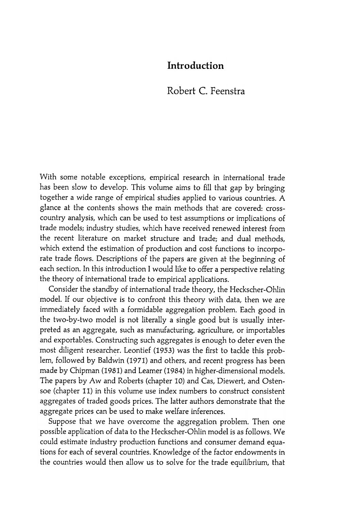## Introduction

## Robert C. Feenstra

With some notable exceptions, empirical research in international trade has been slow to develop. This volume aims to fill that gap by bringing together a wide range of empirical studies applied to various countries . A glance at the contents shows the main methods that are covered: crosscountry analysis, which can be used to test assumptions or implications of trade models; industry studies, which have received renewed interest from the recent literature on market structure and trade; and dual methods, which extend the estimation of production and cost functions to incorporate trade flows. Descriptions of the papers are given at the beginning of each section. In this introduction I would like to offer a perspective relating the theory of international trade to empirical applications .

Consider the standby of international trade theory , the Heckscher-Ohlin model. If our objective is to confront this theory with data, then we are immediately faced with a formidable aggregation problem. Each good in the two-by-two model is not literally a single good but is usually interpreted as an aggregate, such as manufacturing, agriculture, or importables and exportables. Constructing such aggregates is enough to deter even the most diligent researcher. Leontief (1953) was the first to tackle this problem, followed by Baldwin (1971) and others, and recent progress has been made by Chipman (1981) and Leamer (1984) in higher -dimensional models . The papers by Aw and Roberts (chapter 10) and Cas, Diewert, and Ostensoe (chapter 11) in this volume use index numbers to construct consistent aggregates of traded goods prices. The latter authors demonstrate that the aggregate prices can be used to make welfare inferences.

Suppose that we have overcome the aggregation problem. Then one possible application of data to the Heckscher-Ohlin model is as follows . We could estimate industry production functions and consumer demand equations for each of several countries. Knowledge of the factor endowments in the countries would then allow us to solve for the trade equilibrium, that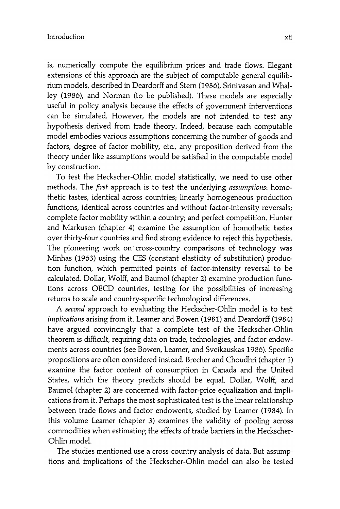is, numerically compute the equilibrium prices and trade flows. Elegant extensions of this approach are the subject of computable general equilibrium models, described in Deardorff and Stern (1986), Srinivasan and Whalley (1986), and Norman (to be published). These models are especially useful in policy analysis because the effects of government interventions can be simulated. However, the models are not intended to test any hypothesis derived from trade theory. Indeed, because each computable model embodies various assumptions concerning the number of goods and factors, degree of factor mobility, etc., any proposition derived from the theory under like assumptions would be satisfied in the computable model by construction.

To test the Heckscher-Ohlin model statistically, we need to use other methods. The first approach is to test the underlying assumptions: homothetic tastes, identical across countries; linearly homogeneous production functions, identical across countries and without factor-intensity reversals; complete factor mobility within a country; and perfect competition. Hunter and Markusen (chapter 4) examine the assumption of homothetic tastes over thirty -four countries and find strong evidence to reject this hypothesis. The pioneering work on cross-country comparisons of technology was Minhas (1963) using the CES (constant elasticity of substitution) production function, which permitted points of factor-intensity reversal to be calculated. Dollar, Wolff, and Baumol (chapter 2) examine production funcacross DECO countries, testing for the possibilities of increasing returns to scale and country -specific technological differences.

A second approach to evaluating the Heckscher-Ohlin model is to test implications arising from it. Leamer and Bowen (1981) and Deardorff (1984) have argued convincingly that a complete test of the Heckscher-Ohlin theorem is difficult, requiring data on trade, technologies, and factor endowments across countries (see Bowen, Leamer, and Sveikauskas 1986). Specific propositions are often considered instead. Brecher and Choudhri (chapter 1) examine the factor content of consumption in Canada and the United States, which the theory predicts should be equal. Dollar, Wolff, and Baumol (chapter 2) are concerned with factor-price equalization and implications from it. Perhaps the most sophisticated test is the linear relationship between trade flows and factor endowents, studied by Leamer (1984). In this volume Leamer (chapter 3) examines the validity of pooling across commodities when estimating the effects of trade barriers in the Heckscher-Ohlin model.

The studies mentioned use a cross-country analysis of data. But assumpand implications of the Heckscher-Ohlin model can also be tested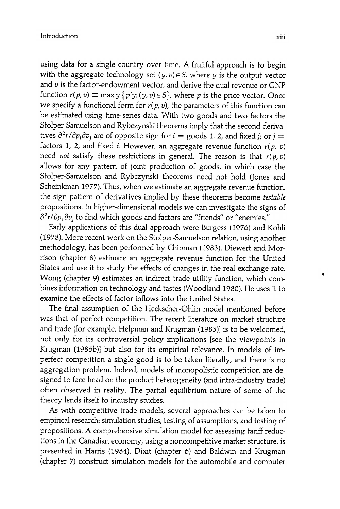using data for a single country over time. A fruitful approach is to begin with the aggregate technology set  $(y, v) \in S$ , where y is the output vector and  $v$  is the factor-endowment vector, and derive the dual revenue or GNP function  $r(p, v) \equiv \max y \{ p'y : (y, v) \in S \}$ , where p is the price vector. Once we specify a functional form for  $r(p, v)$ , the parameters of this function can be estimated using time-series data. With two goods and two factors the Stolper-Samuelson and Rybczynski theorems imply that the second derivatives  $\partial^2 r / \partial p_i \partial v_j$  are of opposite sign for  $i =$  goods 1, 2, and fixed i; or  $i =$ factors 1, 2, and fixed i. However, an aggregate revenue function  $r(p, v)$ need not satisfy these restrictions in general. The reason is that  $r(p, v)$ allows for any pattern of joint production of goods, in which case the Stolper-Samuelson and Rybczynski theorems need not hold (Jones and Scheinkman 1977). Thus, when we estimate an aggregate revenue function, the sign pattern of derivatives implied by these theorems become testable propositions . In higher -dimensional models we can investigate the signs of  $\partial^2 r / \partial p_i \partial v_j$  to find which goods and factors are "friends" or "enemies."

Early applications of this dual approach were Burgess (1976) and Kohli (1978). More recent work on the Stolper-Samuelson relation, using another methodology, has been performed by Chipman (1983). Diewert and Morrison (chapter 8) estimate an aggregate revenue function for the United States and use it to study the effects of changes in the real exchange rate. Wong (chapter 9) estimates an indirect trade utility function, which combines information on technology and tastes (Woodland 1980). He uses it to examine the effects of factor inflows into the United States.

The final assumption of the Heckscher-Ohlin model mentioned before was that of perfect competition. The recent literature on market structure and trade [for example, Helpman and Krugman (1985)] is to be welcomed, not only for its controversial policy implications [see the viewpoints in Krugman (1986b)] but also for its empirical relevance. In models of imperfect competition a single good is to be taken literally, and there is no aggregation problem. Indeed, models of monopolistic competition are designed to face head on the product heterogeneity (and intra-industry trade) often observed in reality. The partial equilibrium nature of some of the theory lends itself to industry studies.

As with competitive trade models, several approaches can be taken to empirical research: simulation studies, testing of assumptions, and testing of propositions. A comprehensive simulation model for assessing tariff reductions in the Canadian economy, using a noncompetitive market structure, is presented in Harris (1984). Dixit (chapter 6) and Baldwin and Krugman (chapter 7) construct simulation models for the automobile and computer

.